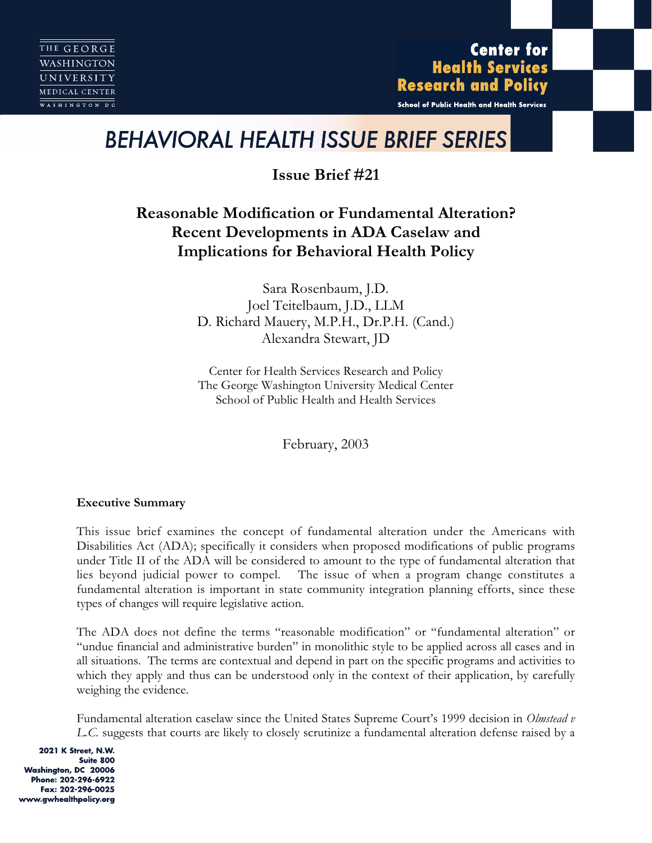**Center for Health Services Research and Policy** 

School of Public Health and Health Services

# *BEHAVIORAL HEALTH ISSUE BRIEF SERIES*

**Issue Brief #21**

# **Reasonable Modification or Fundamental Alteration? Recent Developments in ADA Caselaw and Implications for Behavioral Health Policy**

Sara Rosenbaum, J.D. Joel Teitelbaum, J.D., LLM D. Richard Mauery, M.P.H., Dr.P.H. (Cand.) Alexandra Stewart, JD

Center for Health Services Research and Policy The George Washington University Medical Center School of Public Health and Health Services

February, 2003

# **Executive Summary**

This issue brief examines the concept of fundamental alteration under the Americans with Disabilities Act (ADA); specifically it considers when proposed modifications of public programs under Title II of the ADA will be considered to amount to the type of fundamental alteration that lies beyond judicial power to compel. The issue of when a program change constitutes a fundamental alteration is important in state community integration planning efforts, since these types of changes will require legislative action.

The ADA does not define the terms "reasonable modification" or "fundamental alteration" or "undue financial and administrative burden" in monolithic style to be applied across all cases and in all situations. The terms are contextual and depend in part on the specific programs and activities to which they apply and thus can be understood only in the context of their application, by carefully weighing the evidence.

Fundamental alteration caselaw since the United States Supreme Court's 1999 decision in *Olmstead v L.C.* suggests that courts are likely to closely scrutinize a fundamental alteration defense raised by a

2021 K Street, N.W. Suite 800 Washington, DC 20006 Phone: 202-296-6922 Fax: 202-296-0025 www.gwhealthpolicy.org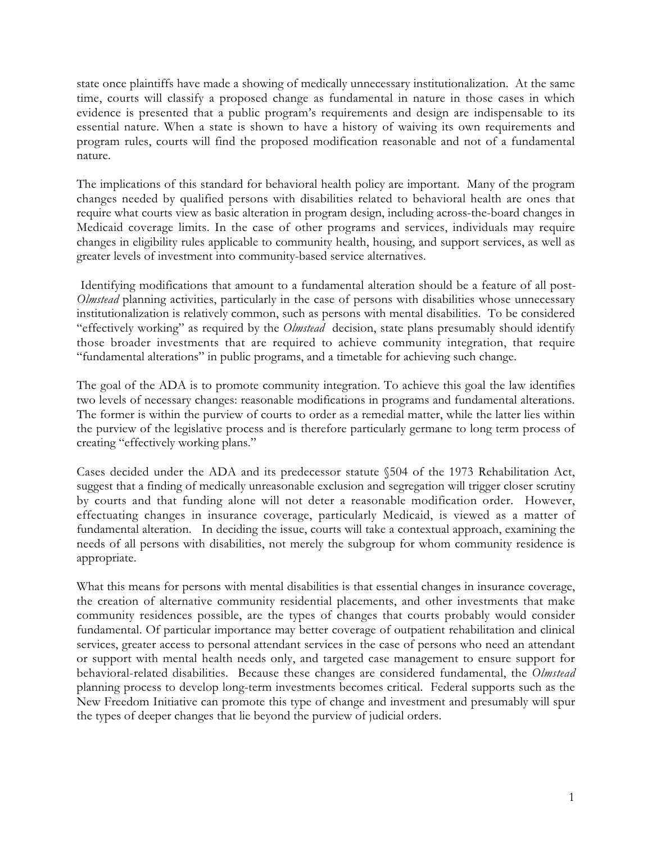state once plaintiffs have made a showing of medically unnecessary institutionalization. At the same time, courts will classify a proposed change as fundamental in nature in those cases in which evidence is presented that a public program's requirements and design are indispensable to its essential nature. When a state is shown to have a history of waiving its own requirements and program rules, courts will find the proposed modification reasonable and not of a fundamental nature.

The implications of this standard for behavioral health policy are important. Many of the program changes needed by qualified persons with disabilities related to behavioral health are ones that require what courts view as basic alteration in program design, including across-the-board changes in Medicaid coverage limits. In the case of other programs and services, individuals may require changes in eligibility rules applicable to community health, housing, and support services, as well as greater levels of investment into community-based service alternatives.

Identifying modifications that amount to a fundamental alteration should be a feature of all post-*Olmstead* planning activities, particularly in the case of persons with disabilities whose unnecessary institutionalization is relatively common, such as persons with mental disabilities. To be considered "effectively working" as required by the *Olmstead* decision, state plans presumably should identify those broader investments that are required to achieve community integration, that require "fundamental alterations" in public programs, and a timetable for achieving such change.

The goal of the ADA is to promote community integration. To achieve this goal the law identifies two levels of necessary changes: reasonable modifications in programs and fundamental alterations. The former is within the purview of courts to order as a remedial matter, while the latter lies within the purview of the legislative process and is therefore particularly germane to long term process of creating "effectively working plans."

Cases decided under the ADA and its predecessor statute §504 of the 1973 Rehabilitation Act, suggest that a finding of medically unreasonable exclusion and segregation will trigger closer scrutiny by courts and that funding alone will not deter a reasonable modification order. However, effectuating changes in insurance coverage, particularly Medicaid, is viewed as a matter of fundamental alteration. In deciding the issue, courts will take a contextual approach, examining the needs of all persons with disabilities, not merely the subgroup for whom community residence is appropriate.

What this means for persons with mental disabilities is that essential changes in insurance coverage, the creation of alternative community residential placements, and other investments that make community residences possible, are the types of changes that courts probably would consider fundamental. Of particular importance may better coverage of outpatient rehabilitation and clinical services, greater access to personal attendant services in the case of persons who need an attendant or support with mental health needs only, and targeted case management to ensure support for behavioral-related disabilities. Because these changes are considered fundamental, the *Olmstead* planning process to develop long-term investments becomes critical. Federal supports such as the New Freedom Initiative can promote this type of change and investment and presumably will spur the types of deeper changes that lie beyond the purview of judicial orders.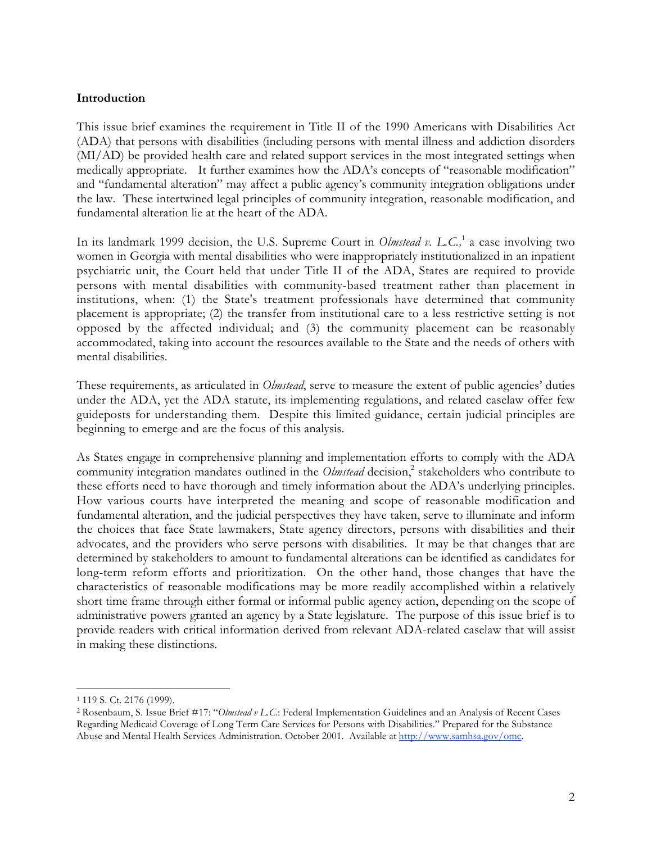#### **Introduction**

This issue brief examines the requirement in Title II of the 1990 Americans with Disabilities Act (ADA) that persons with disabilities (including persons with mental illness and addiction disorders (MI/AD) be provided health care and related support services in the most integrated settings when medically appropriate. It further examines how the ADA's concepts of "reasonable modification" and "fundamental alteration" may affect a public agency's community integration obligations under the law. These intertwined legal principles of community integration, reasonable modification, and fundamental alteration lie at the heart of the ADA.

In its landmark 1999 decision, the U.S. Supreme Court in *Olmstead v. L.C.*,<sup>1</sup> a case involving two women in Georgia with mental disabilities who were inappropriately institutionalized in an inpatient psychiatric unit, the Court held that under Title II of the ADA, States are required to provide persons with mental disabilities with community-based treatment rather than placement in institutions, when: (1) the State's treatment professionals have determined that community placement is appropriate; (2) the transfer from institutional care to a less restrictive setting is not opposed by the affected individual; and (3) the community placement can be reasonably accommodated, taking into account the resources available to the State and the needs of others with mental disabilities.

These requirements, as articulated in *Olmstead*, serve to measure the extent of public agencies' duties under the ADA, yet the ADA statute, its implementing regulations, and related caselaw offer few guideposts for understanding them. Despite this limited guidance, certain judicial principles are beginning to emerge and are the focus of this analysis.

As States engage in comprehensive planning and implementation efforts to comply with the ADA community integration mandates outlined in the *Olmstead* decision,<sup>2</sup> stakeholders who contribute to these efforts need to have thorough and timely information about the ADA's underlying principles. How various courts have interpreted the meaning and scope of reasonable modification and fundamental alteration, and the judicial perspectives they have taken, serve to illuminate and inform the choices that face State lawmakers, State agency directors, persons with disabilities and their advocates, and the providers who serve persons with disabilities. It may be that changes that are determined by stakeholders to amount to fundamental alterations can be identified as candidates for long-term reform efforts and prioritization. On the other hand, those changes that have the characteristics of reasonable modifications may be more readily accomplished within a relatively short time frame through either formal or informal public agency action, depending on the scope of administrative powers granted an agency by a State legislature. The purpose of this issue brief is to provide readers with critical information derived from relevant ADA-related caselaw that will assist in making these distinctions.

 <sup>1 119</sup> S. Ct. 2176 (1999).

<sup>2</sup> Rosenbaum, S. Issue Brief #17: "*Olmstead v L.C*.: Federal Implementation Guidelines and an Analysis of Recent Cases Regarding Medicaid Coverage of Long Term Care Services for Persons with Disabilities." Prepared for the Substance Abuse and Mental Health Services Administration. October 2001. Available at http://www.samhsa.gov/omc.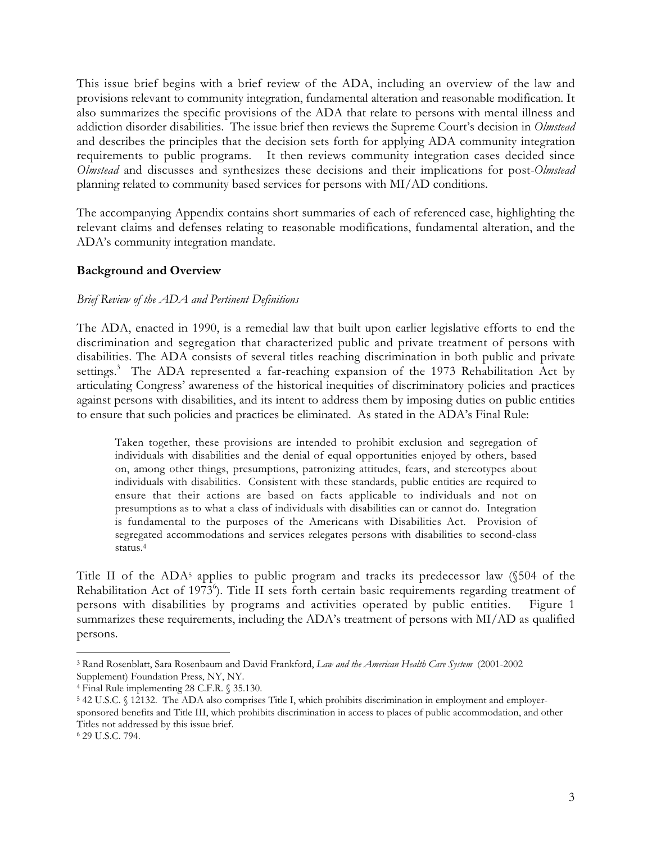This issue brief begins with a brief review of the ADA, including an overview of the law and provisions relevant to community integration, fundamental alteration and reasonable modification. It also summarizes the specific provisions of the ADA that relate to persons with mental illness and addiction disorder disabilities. The issue brief then reviews the Supreme Court's decision in *Olmstead* and describes the principles that the decision sets forth for applying ADA community integration requirements to public programs. It then reviews community integration cases decided since *Olmstead* and discusses and synthesizes these decisions and their implications for post-*Olmstead* planning related to community based services for persons with MI/AD conditions.

The accompanying Appendix contains short summaries of each of referenced case, highlighting the relevant claims and defenses relating to reasonable modifications, fundamental alteration, and the ADA's community integration mandate.

#### **Background and Overview**

#### *Brief Review of the ADA and Pertinent Definitions*

The ADA, enacted in 1990, is a remedial law that built upon earlier legislative efforts to end the discrimination and segregation that characterized public and private treatment of persons with disabilities. The ADA consists of several titles reaching discrimination in both public and private settings.<sup>3</sup> The ADA represented a far-reaching expansion of the 1973 Rehabilitation Act by articulating Congress' awareness of the historical inequities of discriminatory policies and practices against persons with disabilities, and its intent to address them by imposing duties on public entities to ensure that such policies and practices be eliminated. As stated in the ADA's Final Rule:

Taken together, these provisions are intended to prohibit exclusion and segregation of individuals with disabilities and the denial of equal opportunities enjoyed by others, based on, among other things, presumptions, patronizing attitudes, fears, and stereotypes about individuals with disabilities. Consistent with these standards, public entities are required to ensure that their actions are based on facts applicable to individuals and not on presumptions as to what a class of individuals with disabilities can or cannot do. Integration is fundamental to the purposes of the Americans with Disabilities Act. Provision of segregated accommodations and services relegates persons with disabilities to second-class status.4

Title II of the  $ADA^5$  applies to public program and tracks its predecessor law  $(\$504$  of the Rehabilitation Act of 1973<sup>6</sup>). Title II sets forth certain basic requirements regarding treatment of persons with disabilities by programs and activities operated by public entities. Figure 1 summarizes these requirements, including the ADA's treatment of persons with MI/AD as qualified persons.

 <sup>3</sup> Rand Rosenblatt, Sara Rosenbaum and David Frankford, *Law and the American Health Care System* (2001-2002 Supplement) Foundation Press, NY, NY.

<sup>4</sup> Final Rule implementing 28 C.F.R. § 35.130.

<sup>&</sup>lt;sup>5</sup> 42 U.S.C. § 12132. The ADA also comprises Title I, which prohibits discrimination in employment and employersponsored benefits and Title III, which prohibits discrimination in access to places of public accommodation, and other Titles not addressed by this issue brief.

<sup>6 29</sup> U.S.C. 794.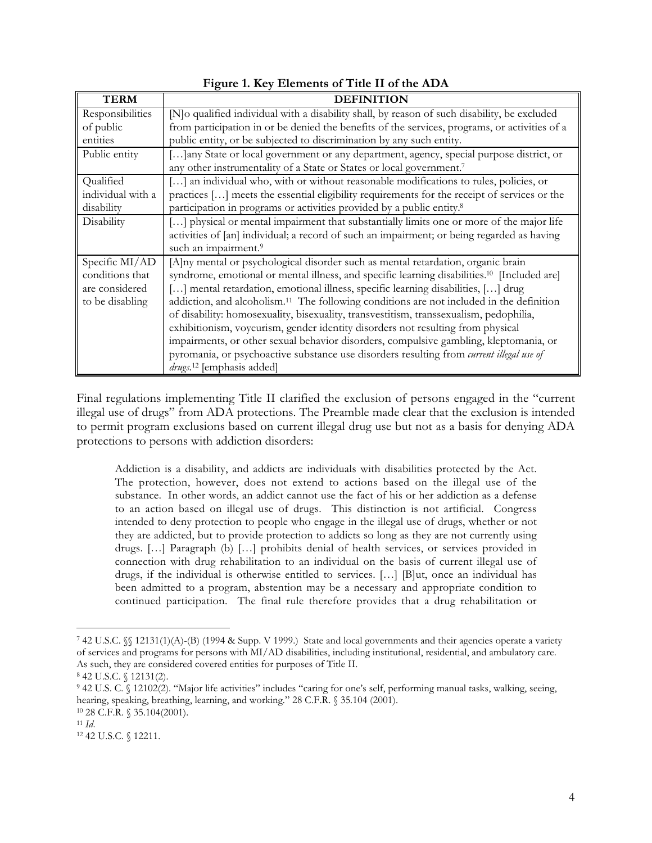| <b>TERM</b>       | <b>DEFINITION</b>                                                                                       |
|-------------------|---------------------------------------------------------------------------------------------------------|
| Responsibilities  | [N]o qualified individual with a disability shall, by reason of such disability, be excluded            |
| of public         | from participation in or be denied the benefits of the services, programs, or activities of a           |
| entities          | public entity, or be subjected to discrimination by any such entity.                                    |
| Public entity     | [] any State or local government or any department, agency, special purpose district, or                |
|                   | any other instrumentality of a State or States or local government.7                                    |
| Qualified         | [] an individual who, with or without reasonable modifications to rules, policies, or                   |
| individual with a | practices [] meets the essential eligibility requirements for the receipt of services or the            |
| disability        | participation in programs or activities provided by a public entity. <sup>8</sup>                       |
| Disability        | [] physical or mental impairment that substantially limits one or more of the major life                |
|                   | activities of [an] individual; a record of such an impairment; or being regarded as having              |
|                   | such an impairment. <sup>9</sup>                                                                        |
| Specific MI/AD    | [A]ny mental or psychological disorder such as mental retardation, organic brain                        |
| conditions that   | syndrome, emotional or mental illness, and specific learning disabilities. <sup>10</sup> [Included are] |
| are considered    | [] mental retardation, emotional illness, specific learning disabilities, [] drug                       |
| to be disabling   | addiction, and alcoholism. <sup>11</sup> The following conditions are not included in the definition    |
|                   | of disability: homosexuality, bisexuality, transvestitism, transsexualism, pedophilia,                  |
|                   | exhibitionism, voyeurism, gender identity disorders not resulting from physical                         |
|                   | impairments, or other sexual behavior disorders, compulsive gambling, kleptomania, or                   |
|                   | pyromania, or psychoactive substance use disorders resulting from current illegal use of                |
|                   | drugs. <sup>12</sup> [emphasis added]                                                                   |

# **Figure 1. Key Elements of Title II of the ADA**

Final regulations implementing Title II clarified the exclusion of persons engaged in the "current illegal use of drugs" from ADA protections. The Preamble made clear that the exclusion is intended to permit program exclusions based on current illegal drug use but not as a basis for denying ADA protections to persons with addiction disorders:

Addiction is a disability, and addicts are individuals with disabilities protected by the Act. The protection, however, does not extend to actions based on the illegal use of the substance. In other words, an addict cannot use the fact of his or her addiction as a defense to an action based on illegal use of drugs. This distinction is not artificial. Congress intended to deny protection to people who engage in the illegal use of drugs, whether or not they are addicted, but to provide protection to addicts so long as they are not currently using drugs. […] Paragraph (b) […] prohibits denial of health services, or services provided in connection with drug rehabilitation to an individual on the basis of current illegal use of drugs, if the individual is otherwise entitled to services. […] [B]ut, once an individual has been admitted to a program, abstention may be a necessary and appropriate condition to continued participation. The final rule therefore provides that a drug rehabilitation or

 <sup>7 42</sup> U.S.C. §§ 12131(1)(A)-(B) (1994 & Supp. V 1999.) State and local governments and their agencies operate a variety of services and programs for persons with MI/AD disabilities, including institutional, residential, and ambulatory care. As such, they are considered covered entities for purposes of Title II.

<sup>8 42</sup> U.S.C. § 12131(2).

<sup>9 42</sup> U.S. C. § 12102(2). "Major life activities" includes "caring for one's self, performing manual tasks, walking, seeing, hearing, speaking, breathing, learning, and working." 28 C.F.R. § 35.104 (2001).

<sup>10 28</sup> C.F.R. § 35.104(2001).

<sup>11</sup> *Id*.

<sup>12 42</sup> U.S.C. § 12211.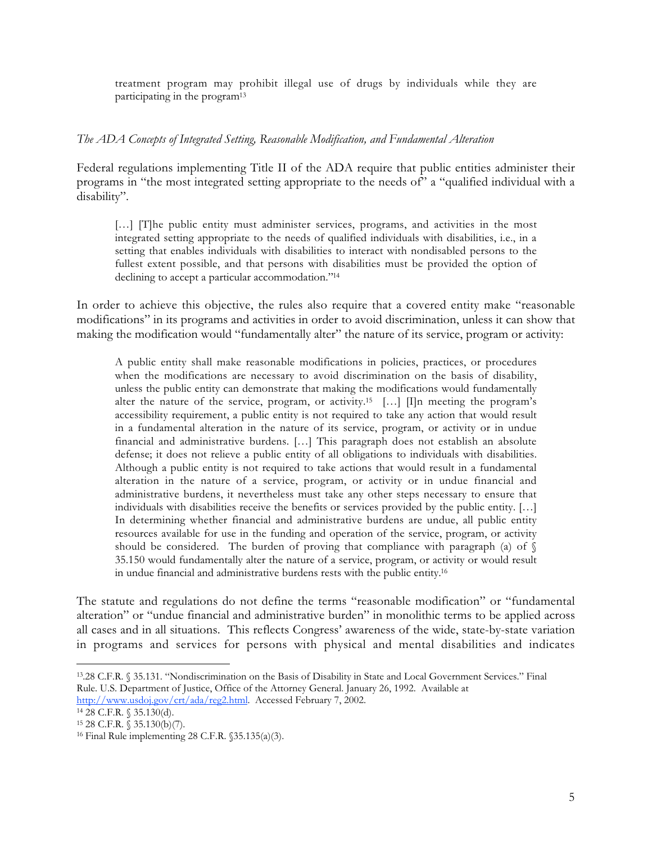treatment program may prohibit illegal use of drugs by individuals while they are participating in the program13

#### *The ADA Concepts of Integrated Setting, Reasonable Modification, and Fundamental Alteration*

Federal regulations implementing Title II of the ADA require that public entities administer their programs in "the most integrated setting appropriate to the needs of" a "qualified individual with a disability".

[...] [T]he public entity must administer services, programs, and activities in the most integrated setting appropriate to the needs of qualified individuals with disabilities, i.e., in a setting that enables individuals with disabilities to interact with nondisabled persons to the fullest extent possible, and that persons with disabilities must be provided the option of declining to accept a particular accommodation."14

In order to achieve this objective, the rules also require that a covered entity make "reasonable modifications" in its programs and activities in order to avoid discrimination, unless it can show that making the modification would "fundamentally alter" the nature of its service, program or activity:

A public entity shall make reasonable modifications in policies, practices, or procedures when the modifications are necessary to avoid discrimination on the basis of disability, unless the public entity can demonstrate that making the modifications would fundamentally alter the nature of the service, program, or activity.<sup>15</sup> [...] [I]n meeting the program's accessibility requirement, a public entity is not required to take any action that would result in a fundamental alteration in the nature of its service, program, or activity or in undue financial and administrative burdens. […] This paragraph does not establish an absolute defense; it does not relieve a public entity of all obligations to individuals with disabilities. Although a public entity is not required to take actions that would result in a fundamental alteration in the nature of a service, program, or activity or in undue financial and administrative burdens, it nevertheless must take any other steps necessary to ensure that individuals with disabilities receive the benefits or services provided by the public entity. […] In determining whether financial and administrative burdens are undue, all public entity resources available for use in the funding and operation of the service, program, or activity should be considered. The burden of proving that compliance with paragraph (a) of  $\S$ 35.150 would fundamentally alter the nature of a service, program, or activity or would result in undue financial and administrative burdens rests with the public entity.16

The statute and regulations do not define the terms "reasonable modification" or "fundamental alteration" or "undue financial and administrative burden" in monolithic terms to be applied across all cases and in all situations. This reflects Congress' awareness of the wide, state-by-state variation in programs and services for persons with physical and mental disabilities and indicates

14 28 C.F.R. § 35.130(d).

 <sup>13.28</sup> C.F.R. § 35.131. "Nondiscrimination on the Basis of Disability in State and Local Government Services." Final Rule. U.S. Department of Justice, Office of the Attorney General. January 26, 1992. Available at

http://www.usdoj.gov/crt/ada/reg2.html. Accessed February 7, 2002.

<sup>15 28</sup> C.F.R. § 35.130(b)(7).

<sup>16</sup> Final Rule implementing 28 C.F.R. §35.135(a)(3).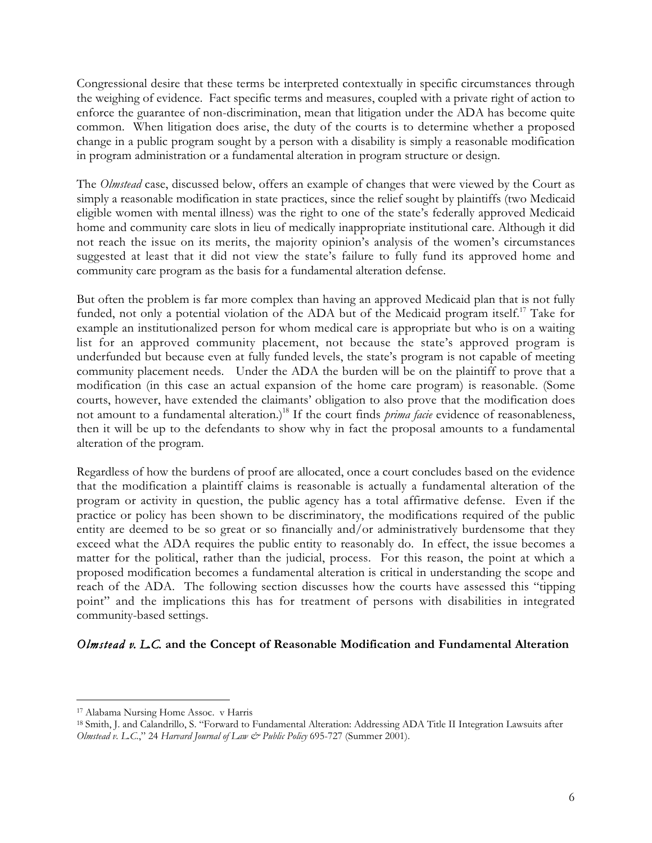Congressional desire that these terms be interpreted contextually in specific circumstances through the weighing of evidence. Fact specific terms and measures, coupled with a private right of action to enforce the guarantee of non-discrimination, mean that litigation under the ADA has become quite common. When litigation does arise, the duty of the courts is to determine whether a proposed change in a public program sought by a person with a disability is simply a reasonable modification in program administration or a fundamental alteration in program structure or design.

The *Olmstead* case, discussed below, offers an example of changes that were viewed by the Court as simply a reasonable modification in state practices, since the relief sought by plaintiffs (two Medicaid eligible women with mental illness) was the right to one of the state's federally approved Medicaid home and community care slots in lieu of medically inappropriate institutional care. Although it did not reach the issue on its merits, the majority opinion's analysis of the women's circumstances suggested at least that it did not view the state's failure to fully fund its approved home and community care program as the basis for a fundamental alteration defense.

But often the problem is far more complex than having an approved Medicaid plan that is not fully funded, not only a potential violation of the ADA but of the Medicaid program itself.<sup>17</sup> Take for example an institutionalized person for whom medical care is appropriate but who is on a waiting list for an approved community placement, not because the state's approved program is underfunded but because even at fully funded levels, the state's program is not capable of meeting community placement needs. Under the ADA the burden will be on the plaintiff to prove that a modification (in this case an actual expansion of the home care program) is reasonable. (Some courts, however, have extended the claimants' obligation to also prove that the modification does not amount to a fundamental alteration.)<sup>18</sup> If the court finds *prima facie* evidence of reasonableness, then it will be up to the defendants to show why in fact the proposal amounts to a fundamental alteration of the program.

Regardless of how the burdens of proof are allocated, once a court concludes based on the evidence that the modification a plaintiff claims is reasonable is actually a fundamental alteration of the program or activity in question, the public agency has a total affirmative defense. Even if the practice or policy has been shown to be discriminatory, the modifications required of the public entity are deemed to be so great or so financially and/or administratively burdensome that they exceed what the ADA requires the public entity to reasonably do. In effect, the issue becomes a matter for the political, rather than the judicial, process. For this reason, the point at which a proposed modification becomes a fundamental alteration is critical in understanding the scope and reach of the ADA. The following section discusses how the courts have assessed this "tipping point" and the implications this has for treatment of persons with disabilities in integrated community-based settings.

# *Olmstead v. L.C.* **and the Concept of Reasonable Modification and Fundamental Alteration**

 <sup>17</sup> Alabama Nursing Home Assoc. v Harris

<sup>&</sup>lt;sup>18</sup> Smith, J. and Calandrillo, S. "Forward to Fundamental Alteration: Addressing ADA Title II Integration Lawsuits after *Olmstead v. L.C.*," 24 *Harvard Journal of Law & Public Policy* 695-727 (Summer 2001).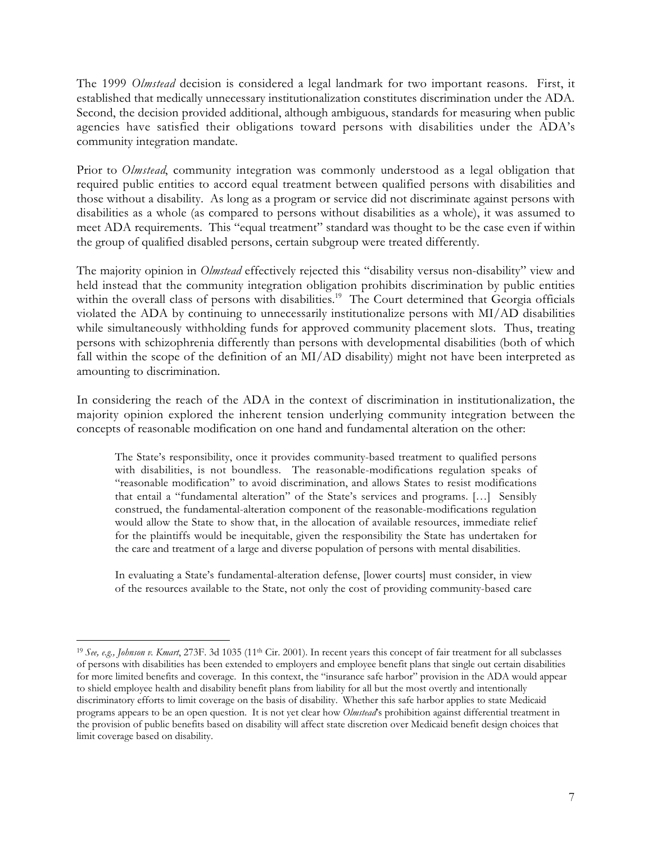The 1999 *Olmstead* decision is considered a legal landmark for two important reasons. First, it established that medically unnecessary institutionalization constitutes discrimination under the ADA. Second, the decision provided additional, although ambiguous, standards for measuring when public agencies have satisfied their obligations toward persons with disabilities under the ADA's community integration mandate.

Prior to *Olmstead*, community integration was commonly understood as a legal obligation that required public entities to accord equal treatment between qualified persons with disabilities and those without a disability. As long as a program or service did not discriminate against persons with disabilities as a whole (as compared to persons without disabilities as a whole), it was assumed to meet ADA requirements. This "equal treatment" standard was thought to be the case even if within the group of qualified disabled persons, certain subgroup were treated differently.

The majority opinion in *Olmstead* effectively rejected this "disability versus non-disability" view and held instead that the community integration obligation prohibits discrimination by public entities within the overall class of persons with disabilities.<sup>19</sup> The Court determined that Georgia officials violated the ADA by continuing to unnecessarily institutionalize persons with MI/AD disabilities while simultaneously withholding funds for approved community placement slots. Thus, treating persons with schizophrenia differently than persons with developmental disabilities (both of which fall within the scope of the definition of an MI/AD disability) might not have been interpreted as amounting to discrimination.

In considering the reach of the ADA in the context of discrimination in institutionalization, the majority opinion explored the inherent tension underlying community integration between the concepts of reasonable modification on one hand and fundamental alteration on the other:

The State's responsibility, once it provides community-based treatment to qualified persons with disabilities, is not boundless. The reasonable-modifications regulation speaks of "reasonable modification" to avoid discrimination, and allows States to resist modifications that entail a "fundamental alteration" of the State's services and programs. […] Sensibly construed, the fundamental-alteration component of the reasonable-modifications regulation would allow the State to show that, in the allocation of available resources, immediate relief for the plaintiffs would be inequitable, given the responsibility the State has undertaken for the care and treatment of a large and diverse population of persons with mental disabilities.

In evaluating a State's fundamental-alteration defense, [lower courts] must consider, in view of the resources available to the State, not only the cost of providing community-based care

<sup>&</sup>lt;sup>19</sup> *See, e.g., Johnson v. Kmart*, 273F. 3d 1035 (11<sup>th</sup> Cir. 2001). In recent years this concept of fair treatment for all subclasses of persons with disabilities has been extended to employers and employee benefit plans that single out certain disabilities for more limited benefits and coverage. In this context, the "insurance safe harbor" provision in the ADA would appear to shield employee health and disability benefit plans from liability for all but the most overtly and intentionally discriminatory efforts to limit coverage on the basis of disability. Whether this safe harbor applies to state Medicaid programs appears to be an open question. It is not yet clear how *Olmstead*'s prohibition against differential treatment in the provision of public benefits based on disability will affect state discretion over Medicaid benefit design choices that limit coverage based on disability.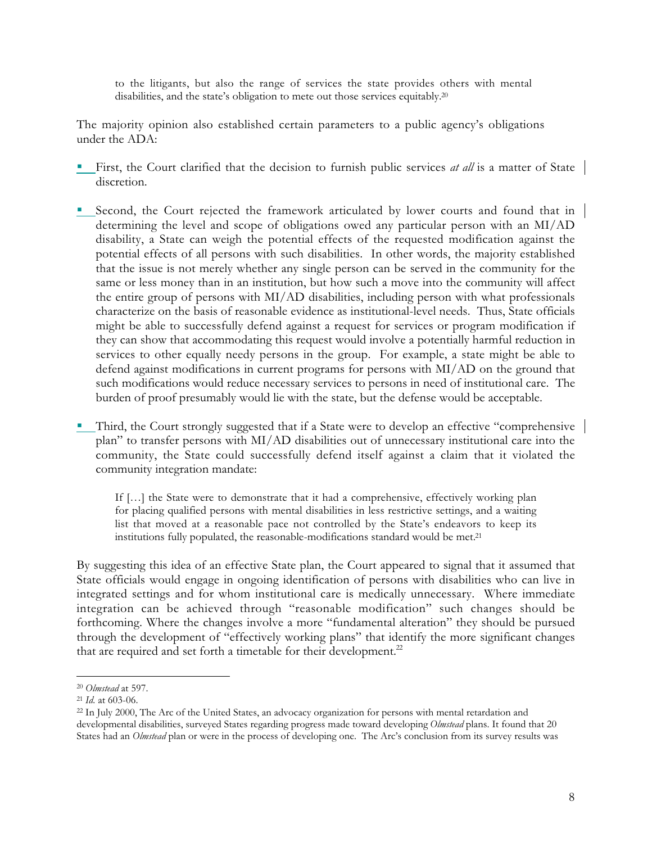to the litigants, but also the range of services the state provides others with mental disabilities, and the state's obligation to mete out those services equitably.20

The majority opinion also established certain parameters to a public agency's obligations under the ADA:

- First, the Court clarified that the decision to furnish public services *at all* is a matter of State discretion.
- **E** Second, the Court rejected the framework articulated by lower courts and found that in determining the level and scope of obligations owed any particular person with an MI/AD disability, a State can weigh the potential effects of the requested modification against the potential effects of all persons with such disabilities. In other words, the majority established that the issue is not merely whether any single person can be served in the community for the same or less money than in an institution, but how such a move into the community will affect the entire group of persons with MI/AD disabilities, including person with what professionals characterize on the basis of reasonable evidence as institutional-level needs. Thus, State officials might be able to successfully defend against a request for services or program modification if they can show that accommodating this request would involve a potentially harmful reduction in services to other equally needy persons in the group. For example, a state might be able to defend against modifications in current programs for persons with MI/AD on the ground that such modifications would reduce necessary services to persons in need of institutional care. The burden of proof presumably would lie with the state, but the defense would be acceptable.
- **Third, the Court strongly suggested that if a State were to develop an effective "comprehensive** plan" to transfer persons with MI/AD disabilities out of unnecessary institutional care into the community, the State could successfully defend itself against a claim that it violated the community integration mandate:

If […] the State were to demonstrate that it had a comprehensive, effectively working plan for placing qualified persons with mental disabilities in less restrictive settings, and a waiting list that moved at a reasonable pace not controlled by the State's endeavors to keep its institutions fully populated, the reasonable-modifications standard would be met.21

By suggesting this idea of an effective State plan, the Court appeared to signal that it assumed that State officials would engage in ongoing identification of persons with disabilities who can live in integrated settings and for whom institutional care is medically unnecessary. Where immediate integration can be achieved through "reasonable modification" such changes should be forthcoming. Where the changes involve a more "fundamental alteration" they should be pursued through the development of "effectively working plans" that identify the more significant changes that are required and set forth a timetable for their development. $^{22}$ 

 <sup>20</sup> *Olmstead* at 597.

<sup>21</sup> *Id.* at 603-06.

<sup>&</sup>lt;sup>22</sup> In July 2000, The Arc of the United States, an advocacy organization for persons with mental retardation and developmental disabilities, surveyed States regarding progress made toward developing *Olmstead* plans. It found that 20 States had an *Olmstead* plan or were in the process of developing one. The Arc's conclusion from its survey results was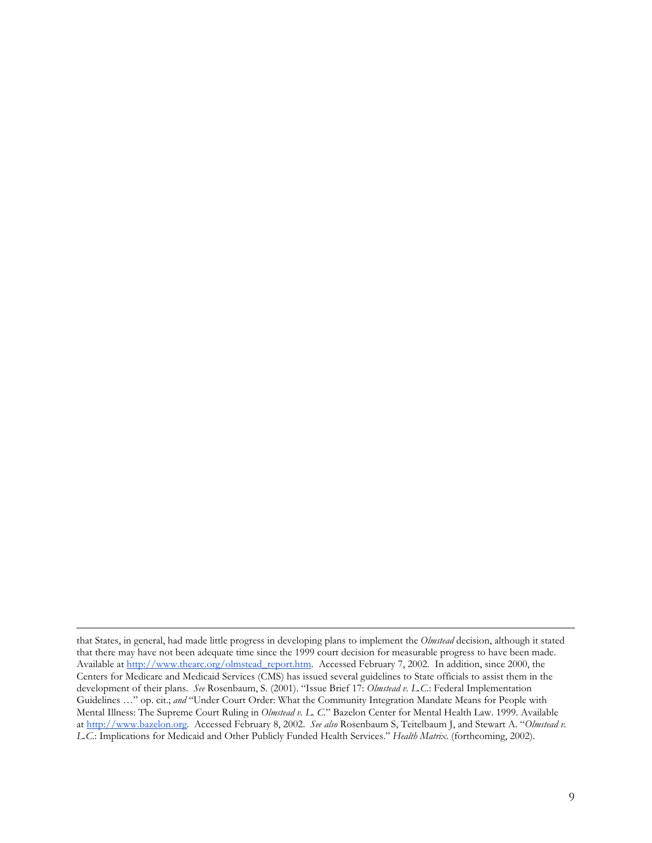that States, in general, had made little progress in developing plans to implement the *Olmstead* decision, although it stated that there may have not been adequate time since the 1999 court decision for measurable progress to have been made. Available at http://www.thearc.org/olmstead\_report.htm. Accessed February 7, 2002. In addition, since 2000, the Centers for Medicare and Medicaid Services (CMS) has issued several guidelines to State officials to assist them in the development of their plans. *See* Rosenbaum, S. (2001). "Issue Brief 17: *Olmstead v. L.C*.: Federal Implementation Guidelines …" op. cit.; *and* "Under Court Order: What the Community Integration Mandate Means for People with Mental Illness: The Supreme Court Ruling in *Olmstead v. L. C*." Bazelon Center for Mental Health Law. 1999. Available at http://www.bazelon.org. Accessed February 8, 2002. *See also* Rosenbaum S, Teitelbaum J, and Stewart A. "*Olmstead v. L.C*.: Implications for Medicaid and Other Publicly Funded Health Services." *Health Matrix.* (forthcoming, 2002).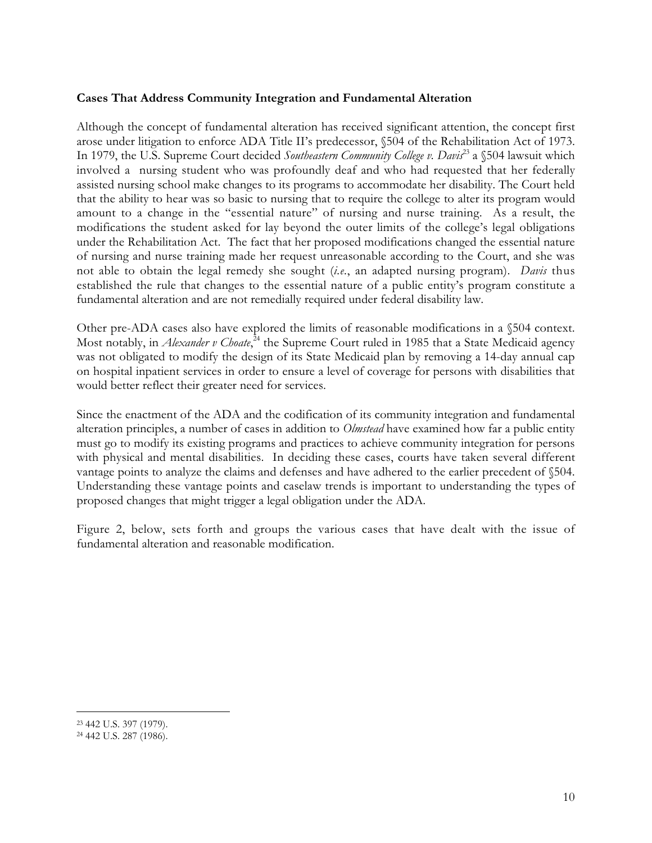#### **Cases That Address Community Integration and Fundamental Alteration**

Although the concept of fundamental alteration has received significant attention, the concept first arose under litigation to enforce ADA Title II's predecessor, §504 of the Rehabilitation Act of 1973. In 1979, the U.S. Supreme Court decided *Southeastern Community College v. Davis*23 a §504 lawsuit which involved a nursing student who was profoundly deaf and who had requested that her federally assisted nursing school make changes to its programs to accommodate her disability. The Court held that the ability to hear was so basic to nursing that to require the college to alter its program would amount to a change in the "essential nature" of nursing and nurse training. As a result, the modifications the student asked for lay beyond the outer limits of the college's legal obligations under the Rehabilitation Act. The fact that her proposed modifications changed the essential nature of nursing and nurse training made her request unreasonable according to the Court, and she was not able to obtain the legal remedy she sought (*i.e.*, an adapted nursing program). *Davis* thus established the rule that changes to the essential nature of a public entity's program constitute a fundamental alteration and are not remedially required under federal disability law.

Other pre-ADA cases also have explored the limits of reasonable modifications in a §504 context. Most notably, in *Alexander v Choate*, <sup>24</sup> the Supreme Court ruled in 1985 that a State Medicaid agency was not obligated to modify the design of its State Medicaid plan by removing a 14-day annual cap on hospital inpatient services in order to ensure a level of coverage for persons with disabilities that would better reflect their greater need for services.

Since the enactment of the ADA and the codification of its community integration and fundamental alteration principles, a number of cases in addition to *Olmstead* have examined how far a public entity must go to modify its existing programs and practices to achieve community integration for persons with physical and mental disabilities. In deciding these cases, courts have taken several different vantage points to analyze the claims and defenses and have adhered to the earlier precedent of §504. Understanding these vantage points and caselaw trends is important to understanding the types of proposed changes that might trigger a legal obligation under the ADA.

Figure 2, below, sets forth and groups the various cases that have dealt with the issue of fundamental alteration and reasonable modification.

 <sup>23 442</sup> U.S. 397 (1979).

<sup>24 442</sup> U.S. 287 (1986).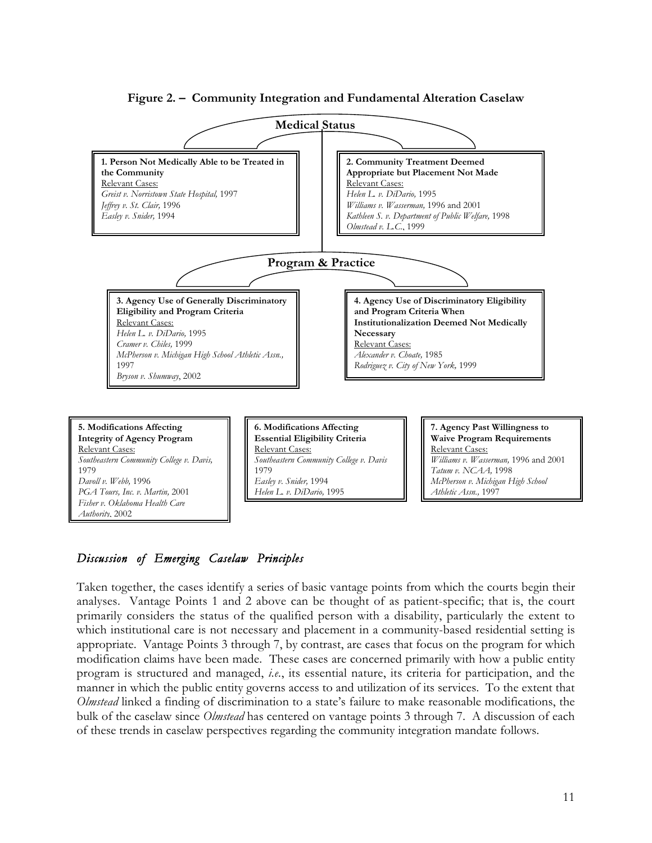

**Figure 2. – Community Integration and Fundamental Alteration Caselaw**

# *Discussion of Emerging Caselaw Principles*

*Fisher v. Oklahoma Health Care*

*Authority*, 2002

Taken together, the cases identify a series of basic vantage points from which the courts begin their analyses. Vantage Points 1 and 2 above can be thought of as patient-specific; that is, the court primarily considers the status of the qualified person with a disability, particularly the extent to which institutional care is not necessary and placement in a community-based residential setting is appropriate. Vantage Points 3 through 7, by contrast, are cases that focus on the program for which modification claims have been made. These cases are concerned primarily with how a public entity program is structured and managed, *i.e.*, its essential nature, its criteria for participation, and the manner in which the public entity governs access to and utilization of its services. To the extent that *Olmstead* linked a finding of discrimination to a state's failure to make reasonable modifications, the bulk of the caselaw since *Olmstead* has centered on vantage points 3 through 7. A discussion of each of these trends in caselaw perspectives regarding the community integration mandate follows.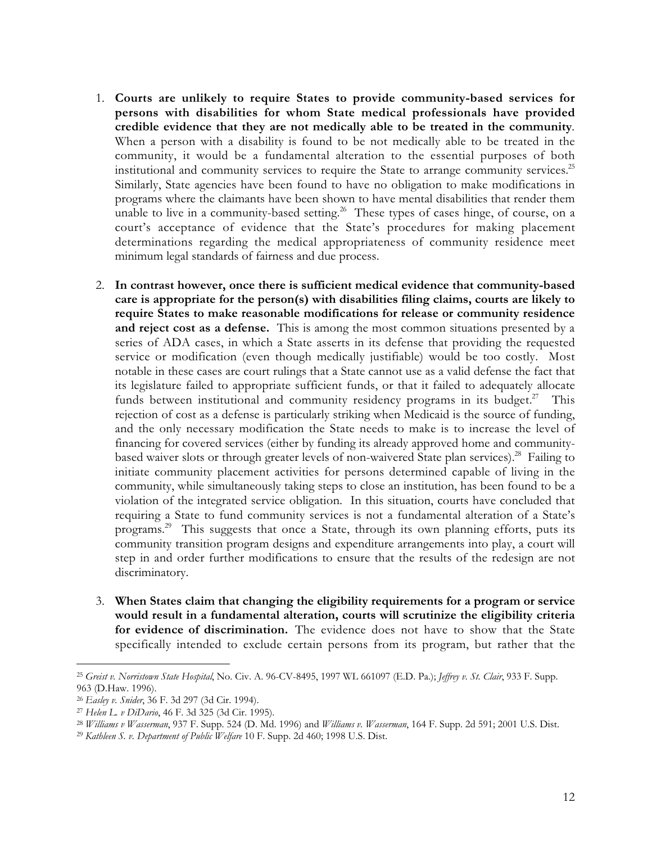- 1. **Courts are unlikely to require States to provide community-based services for persons with disabilities for whom State medical professionals have provided credible evidence that they are not medically able to be treated in the community***.* When a person with a disability is found to be not medically able to be treated in the community, it would be a fundamental alteration to the essential purposes of both institutional and community services to require the State to arrange community services.<sup>25</sup> Similarly, State agencies have been found to have no obligation to make modifications in programs where the claimants have been shown to have mental disabilities that render them unable to live in a community-based setting.<sup>26</sup> These types of cases hinge, of course, on a court's acceptance of evidence that the State's procedures for making placement determinations regarding the medical appropriateness of community residence meet minimum legal standards of fairness and due process.
- 2. **In contrast however, once there is sufficient medical evidence that community-based care is appropriate for the person(s) with disabilities filing claims, courts are likely to require States to make reasonable modifications for release or community residence and reject cost as a defense.** This is among the most common situations presented by a series of ADA cases, in which a State asserts in its defense that providing the requested service or modification (even though medically justifiable) would be too costly. Most notable in these cases are court rulings that a State cannot use as a valid defense the fact that its legislature failed to appropriate sufficient funds, or that it failed to adequately allocate funds between institutional and community residency programs in its budget.<sup>27</sup> This rejection of cost as a defense is particularly striking when Medicaid is the source of funding, and the only necessary modification the State needs to make is to increase the level of financing for covered services (either by funding its already approved home and communitybased waiver slots or through greater levels of non-waivered State plan services).<sup>28</sup> Failing to initiate community placement activities for persons determined capable of living in the community, while simultaneously taking steps to close an institution, has been found to be a violation of the integrated service obligation. In this situation, courts have concluded that requiring a State to fund community services is not a fundamental alteration of a State's programs.<sup>29</sup> This suggests that once a State, through its own planning efforts, puts its community transition program designs and expenditure arrangements into play, a court will step in and order further modifications to ensure that the results of the redesign are not discriminatory.
- 3. **When States claim that changing the eligibility requirements for a program or service would result in a fundamental alteration, courts will scrutinize the eligibility criteria for evidence of discrimination.**The evidence does not have to show that the State specifically intended to exclude certain persons from its program, but rather that the

 <sup>25</sup> *Greist v. Norristown State Hospital*, No. Civ. A. 96-CV-8495, 1997 WL 661097 (E.D. Pa.); *Jeffrey v. St. Clair*, 933 F. Supp. 963 (D.Haw. 1996).

<sup>26</sup> *Easley v. Snider*, 36 F. 3d 297 (3d Cir. 1994).

<sup>27</sup> *Helen L. v DiDario*, 46 F. 3d 325 (3d Cir. 1995).

<sup>28</sup> *Williams v Wasserman*, 937 F. Supp. 524 (D. Md. 1996) and *Williams v. Wasserman*, 164 F. Supp. 2d 591; 2001 U.S. Dist.

<sup>29</sup> *Kathleen S. v. Department of Public Welfare* 10 F. Supp. 2d 460; 1998 U.S. Dist.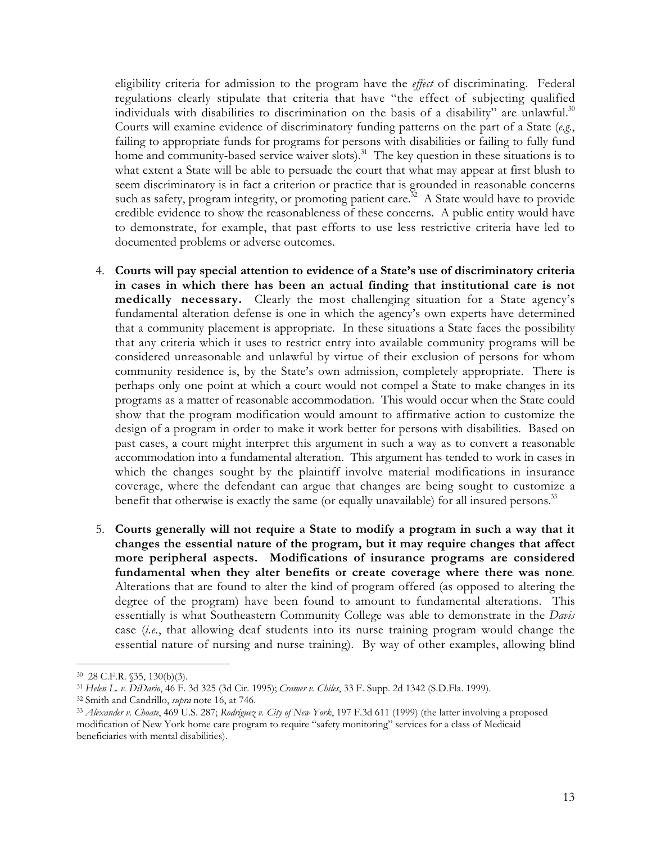eligibility criteria for admission to the program have the *effect* of discriminating. Federal regulations clearly stipulate that criteria that have "the effect of subjecting qualified individuals with disabilities to discrimination on the basis of a disability" are unlawful. $30$ Courts will examine evidence of discriminatory funding patterns on the part of a State (*e.g*., failing to appropriate funds for programs for persons with disabilities or failing to fully fund home and community-based service waiver slots).<sup>31</sup> The key question in these situations is to what extent a State will be able to persuade the court that what may appear at first blush to seem discriminatory is in fact a criterion or practice that is grounded in reasonable concerns such as safety, program integrity, or promoting patient care.<sup>32</sup> A State would have to provide credible evidence to show the reasonableness of these concerns. A public entity would have to demonstrate, for example, that past efforts to use less restrictive criteria have led to documented problems or adverse outcomes.

- 4. **Courts will pay special attention to evidence of a State's use of discriminatory criteria in cases in which there has been an actual finding that institutional care is not medically necessary.** Clearly the most challenging situation for a State agency's fundamental alteration defense is one in which the agency's own experts have determined that a community placement is appropriate. In these situations a State faces the possibility that any criteria which it uses to restrict entry into available community programs will be considered unreasonable and unlawful by virtue of their exclusion of persons for whom community residence is, by the State's own admission, completely appropriate. There is perhaps only one point at which a court would not compel a State to make changes in its programs as a matter of reasonable accommodation. This would occur when the State could show that the program modification would amount to affirmative action to customize the design of a program in order to make it work better for persons with disabilities. Based on past cases, a court might interpret this argument in such a way as to convert a reasonable accommodation into a fundamental alteration. This argument has tended to work in cases in which the changes sought by the plaintiff involve material modifications in insurance coverage, where the defendant can argue that changes are being sought to customize a benefit that otherwise is exactly the same (or equally unavailable) for all insured persons.<sup>33</sup>
- 5. **Courts generally will not require a State to modify a program in such a way that it changes the essential nature of the program, but it may require changes that affect more peripheral aspects. Modifications of insurance programs are considered fundamental when they alter benefits or create coverage where there was none***.* Alterations that are found to alter the kind of program offered (as opposed to altering the degree of the program) have been found to amount to fundamental alterations. This essentially is what Southeastern Community College was able to demonstrate in the *Davis* case (*i.e*., that allowing deaf students into its nurse training program would change the essential nature of nursing and nurse training). By way of other examples, allowing blind

 <sup>30 28</sup> C.F.R. §35, 130(b)(3).

<sup>31</sup> *Helen L. v. DiDario*, 46 F. 3d 325 (3d Cir. 1995); *Cramer v. Chiles*, 33 F. Supp. 2d 1342 (S.D.Fla. 1999).

<sup>32</sup> Smith and Candrillo, *supra* note 16, at 746.

<sup>33</sup> *Alexander v. Choate*, 469 U.S. 287; *Rodriguez v. City of New York*, 197 F.3d 611 (1999) (the latter involving a proposed modification of New York home care program to require "safety monitoring" services for a class of Medicaid beneficiaries with mental disabilities).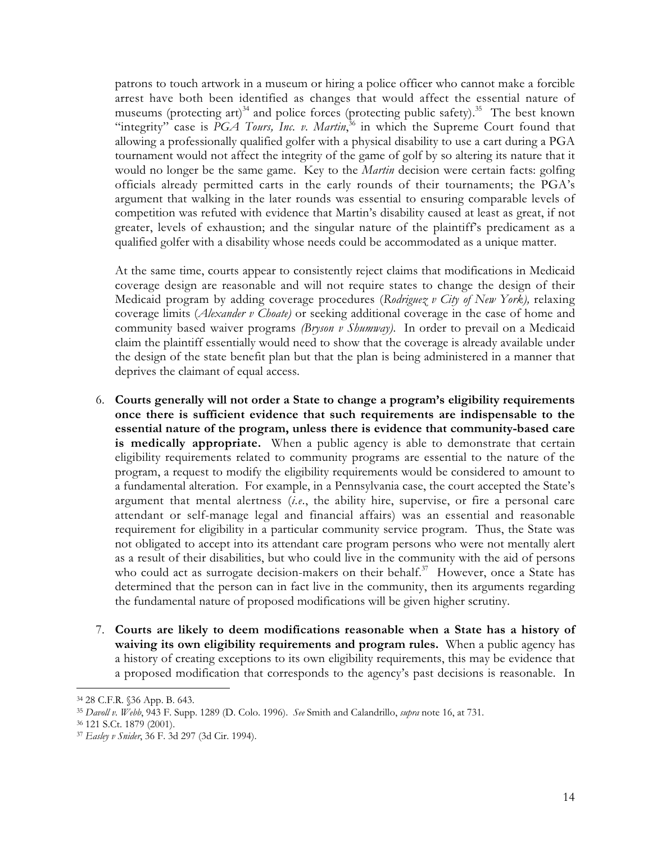patrons to touch artwork in a museum or hiring a police officer who cannot make a forcible arrest have both been identified as changes that would affect the essential nature of museums (protecting art)<sup>34</sup> and police forces (protecting public safety).<sup>35</sup> The best known "integrity" case is PGA Tours, Inc. v. Martin,<sup>36</sup> in which the Supreme Court found that allowing a professionally qualified golfer with a physical disability to use a cart during a PGA tournament would not affect the integrity of the game of golf by so altering its nature that it would no longer be the same game. Key to the *Martin* decision were certain facts: golfing officials already permitted carts in the early rounds of their tournaments; the PGA's argument that walking in the later rounds was essential to ensuring comparable levels of competition was refuted with evidence that Martin's disability caused at least as great, if not greater, levels of exhaustion; and the singular nature of the plaintiff's predicament as a qualified golfer with a disability whose needs could be accommodated as a unique matter.

At the same time, courts appear to consistently reject claims that modifications in Medicaid coverage design are reasonable and will not require states to change the design of their Medicaid program by adding coverage procedures (*Rodriguez v City of New York),* relaxing coverage limits (*Alexander v Choate)* or seeking additional coverage in the case of home and community based waiver programs *(Bryson v Shumway)*. In order to prevail on a Medicaid claim the plaintiff essentially would need to show that the coverage is already available under the design of the state benefit plan but that the plan is being administered in a manner that deprives the claimant of equal access.

- 6. **Courts generally will not order a State to change a program's eligibility requirements once there is sufficient evidence that such requirements are indispensable to the essential nature of the program, unless there is evidence that community-based care is medically appropriate.** When a public agency is able to demonstrate that certain eligibility requirements related to community programs are essential to the nature of the program, a request to modify the eligibility requirements would be considered to amount to a fundamental alteration. For example, in a Pennsylvania case, the court accepted the State's argument that mental alertness (*i.e*., the ability hire, supervise, or fire a personal care attendant or self-manage legal and financial affairs) was an essential and reasonable requirement for eligibility in a particular community service program. Thus, the State was not obligated to accept into its attendant care program persons who were not mentally alert as a result of their disabilities, but who could live in the community with the aid of persons who could act as surrogate decision-makers on their behalf. $37$  However, once a State has determined that the person can in fact live in the community, then its arguments regarding the fundamental nature of proposed modifications will be given higher scrutiny.
- 7. **Courts are likely to deem modifications reasonable when a State has a history of waiving its own eligibility requirements and program rules.** When a public agency has a history of creating exceptions to its own eligibility requirements, this may be evidence that a proposed modification that corresponds to the agency's past decisions is reasonable. In

 <sup>34 28</sup> C.F.R. §36 App. B. 643.

<sup>35</sup> *Davoll v. Webb*, 943 F. Supp. 1289 (D. Colo. 1996). *See* Smith and Calandrillo, *supra* note 16, at 731.

<sup>36 121</sup> S.Ct. 1879 (2001).

<sup>37</sup> *Easley v Snider*, 36 F. 3d 297 (3d Cir. 1994).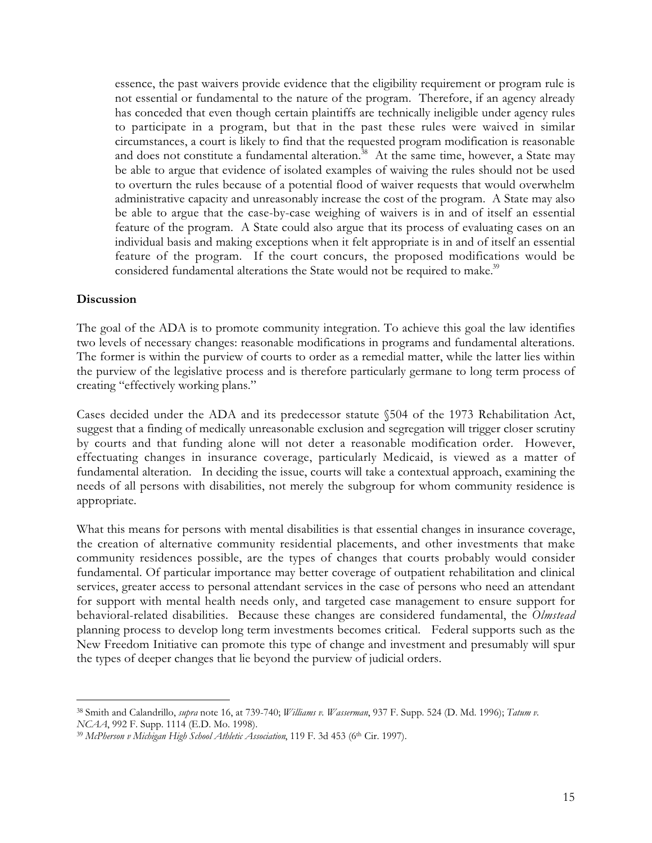essence, the past waivers provide evidence that the eligibility requirement or program rule is not essential or fundamental to the nature of the program. Therefore, if an agency already has conceded that even though certain plaintiffs are technically ineligible under agency rules to participate in a program, but that in the past these rules were waived in similar circumstances, a court is likely to find that the requested program modification is reasonable and does not constitute a fundamental alteration.<sup>38</sup> At the same time, however, a State may be able to argue that evidence of isolated examples of waiving the rules should not be used to overturn the rules because of a potential flood of waiver requests that would overwhelm administrative capacity and unreasonably increase the cost of the program. A State may also be able to argue that the case-by-case weighing of waivers is in and of itself an essential feature of the program. A State could also argue that its process of evaluating cases on an individual basis and making exceptions when it felt appropriate is in and of itself an essential feature of the program. If the court concurs, the proposed modifications would be considered fundamental alterations the State would not be required to make.<sup>39</sup>

#### **Discussion**

The goal of the ADA is to promote community integration. To achieve this goal the law identifies two levels of necessary changes: reasonable modifications in programs and fundamental alterations. The former is within the purview of courts to order as a remedial matter, while the latter lies within the purview of the legislative process and is therefore particularly germane to long term process of creating "effectively working plans."

Cases decided under the ADA and its predecessor statute §504 of the 1973 Rehabilitation Act, suggest that a finding of medically unreasonable exclusion and segregation will trigger closer scrutiny by courts and that funding alone will not deter a reasonable modification order. However, effectuating changes in insurance coverage, particularly Medicaid, is viewed as a matter of fundamental alteration. In deciding the issue, courts will take a contextual approach, examining the needs of all persons with disabilities, not merely the subgroup for whom community residence is appropriate.

What this means for persons with mental disabilities is that essential changes in insurance coverage, the creation of alternative community residential placements, and other investments that make community residences possible, are the types of changes that courts probably would consider fundamental. Of particular importance may better coverage of outpatient rehabilitation and clinical services, greater access to personal attendant services in the case of persons who need an attendant for support with mental health needs only, and targeted case management to ensure support for behavioral-related disabilities. Because these changes are considered fundamental, the *Olmstead* planning process to develop long term investments becomes critical. Federal supports such as the New Freedom Initiative can promote this type of change and investment and presumably will spur the types of deeper changes that lie beyond the purview of judicial orders.

 <sup>38</sup> Smith and Calandrillo, *supra* note 16, at 739-740; *Williams v. Wasserman*, 937 F. Supp. 524 (D. Md. 1996); *Tatum v. NCAA*, 992 F. Supp. 1114 (E.D. Mo. 1998).

<sup>&</sup>lt;sup>39</sup> McPherson v Michigan High School Athletic Association, 119 F. 3d 453 (6<sup>th</sup> Cir. 1997).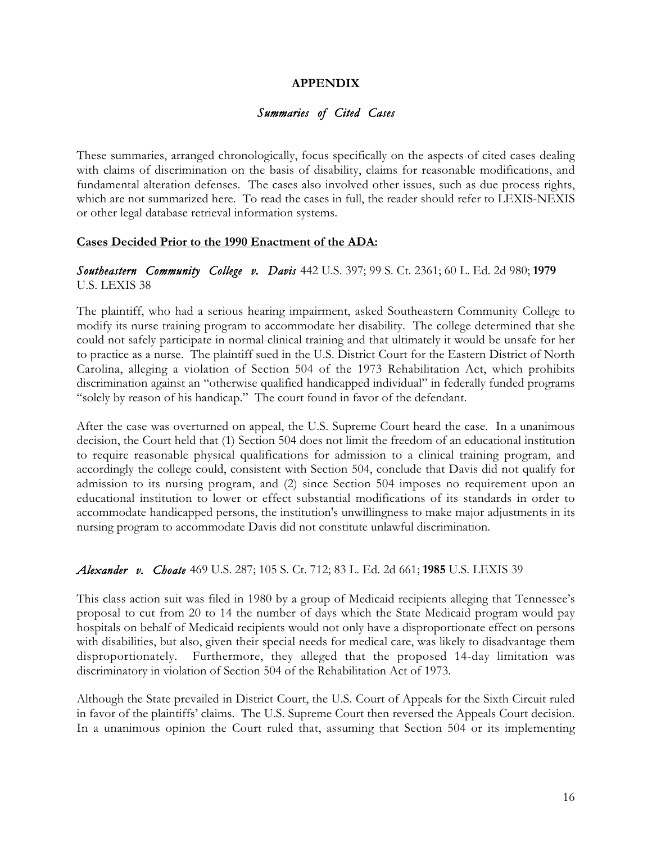#### **APPENDIX**

#### *Summaries of Cited Cases*

These summaries, arranged chronologically, focus specifically on the aspects of cited cases dealing with claims of discrimination on the basis of disability, claims for reasonable modifications, and fundamental alteration defenses. The cases also involved other issues, such as due process rights, which are not summarized here. To read the cases in full, the reader should refer to LEXIS-NEXIS or other legal database retrieval information systems.

#### **Cases Decided Prior to the 1990 Enactment of the ADA:**

#### *Southeastern Community College v. Davis* 442 U.S. 397; 99 S. Ct. 2361; 60 L. Ed. 2d 980; **1979** U.S. LEXIS 38

The plaintiff, who had a serious hearing impairment, asked Southeastern Community College to modify its nurse training program to accommodate her disability. The college determined that she could not safely participate in normal clinical training and that ultimately it would be unsafe for her to practice as a nurse. The plaintiff sued in the U.S. District Court for the Eastern District of North Carolina, alleging a violation of Section 504 of the 1973 Rehabilitation Act, which prohibits discrimination against an "otherwise qualified handicapped individual" in federally funded programs "solely by reason of his handicap." The court found in favor of the defendant.

After the case was overturned on appeal, the U.S. Supreme Court heard the case. In a unanimous decision, the Court held that (1) Section 504 does not limit the freedom of an educational institution to require reasonable physical qualifications for admission to a clinical training program, and accordingly the college could, consistent with Section 504, conclude that Davis did not qualify for admission to its nursing program, and (2) since Section 504 imposes no requirement upon an educational institution to lower or effect substantial modifications of its standards in order to accommodate handicapped persons, the institution's unwillingness to make major adjustments in its nursing program to accommodate Davis did not constitute unlawful discrimination.

#### *Alexander v. Choate* 469 U.S. 287; 105 S. Ct. 712; 83 L. Ed. 2d 661; **1985** U.S. LEXIS 39

This class action suit was filed in 1980 by a group of Medicaid recipients alleging that Tennessee's proposal to cut from 20 to 14 the number of days which the State Medicaid program would pay hospitals on behalf of Medicaid recipients would not only have a disproportionate effect on persons with disabilities, but also, given their special needs for medical care, was likely to disadvantage them disproportionately. Furthermore, they alleged that the proposed 14-day limitation was discriminatory in violation of Section 504 of the Rehabilitation Act of 1973.

Although the State prevailed in District Court, the U.S. Court of Appeals for the Sixth Circuit ruled in favor of the plaintiffs' claims. The U.S. Supreme Court then reversed the Appeals Court decision. In a unanimous opinion the Court ruled that, assuming that Section 504 or its implementing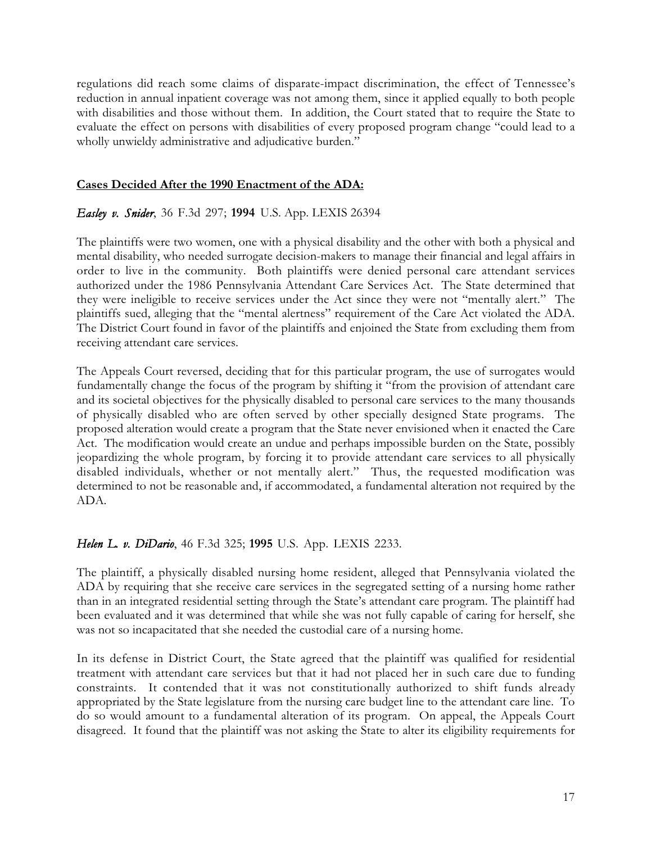regulations did reach some claims of disparate-impact discrimination, the effect of Tennessee's reduction in annual inpatient coverage was not among them, since it applied equally to both people with disabilities and those without them. In addition, the Court stated that to require the State to evaluate the effect on persons with disabilities of every proposed program change "could lead to a wholly unwieldy administrative and adjudicative burden."

#### **Cases Decided After the 1990 Enactment of the ADA:**

#### *Easley v. Snider*, 36 F.3d 297; **1994** U.S. App. LEXIS 26394

The plaintiffs were two women, one with a physical disability and the other with both a physical and mental disability, who needed surrogate decision-makers to manage their financial and legal affairs in order to live in the community. Both plaintiffs were denied personal care attendant services authorized under the 1986 Pennsylvania Attendant Care Services Act. The State determined that they were ineligible to receive services under the Act since they were not "mentally alert." The plaintiffs sued, alleging that the "mental alertness" requirement of the Care Act violated the ADA. The District Court found in favor of the plaintiffs and enjoined the State from excluding them from receiving attendant care services.

The Appeals Court reversed, deciding that for this particular program, the use of surrogates would fundamentally change the focus of the program by shifting it "from the provision of attendant care and its societal objectives for the physically disabled to personal care services to the many thousands of physically disabled who are often served by other specially designed State programs. The proposed alteration would create a program that the State never envisioned when it enacted the Care Act. The modification would create an undue and perhaps impossible burden on the State, possibly jeopardizing the whole program, by forcing it to provide attendant care services to all physically disabled individuals, whether or not mentally alert." Thus, the requested modification was determined to not be reasonable and, if accommodated, a fundamental alteration not required by the ADA.

#### *Helen L. v. DiDario*, 46 F.3d 325; **1995** U.S. App. LEXIS 2233.

The plaintiff, a physically disabled nursing home resident, alleged that Pennsylvania violated the ADA by requiring that she receive care services in the segregated setting of a nursing home rather than in an integrated residential setting through the State's attendant care program. The plaintiff had been evaluated and it was determined that while she was not fully capable of caring for herself, she was not so incapacitated that she needed the custodial care of a nursing home.

In its defense in District Court, the State agreed that the plaintiff was qualified for residential treatment with attendant care services but that it had not placed her in such care due to funding constraints. It contended that it was not constitutionally authorized to shift funds already appropriated by the State legislature from the nursing care budget line to the attendant care line. To do so would amount to a fundamental alteration of its program. On appeal, the Appeals Court disagreed. It found that the plaintiff was not asking the State to alter its eligibility requirements for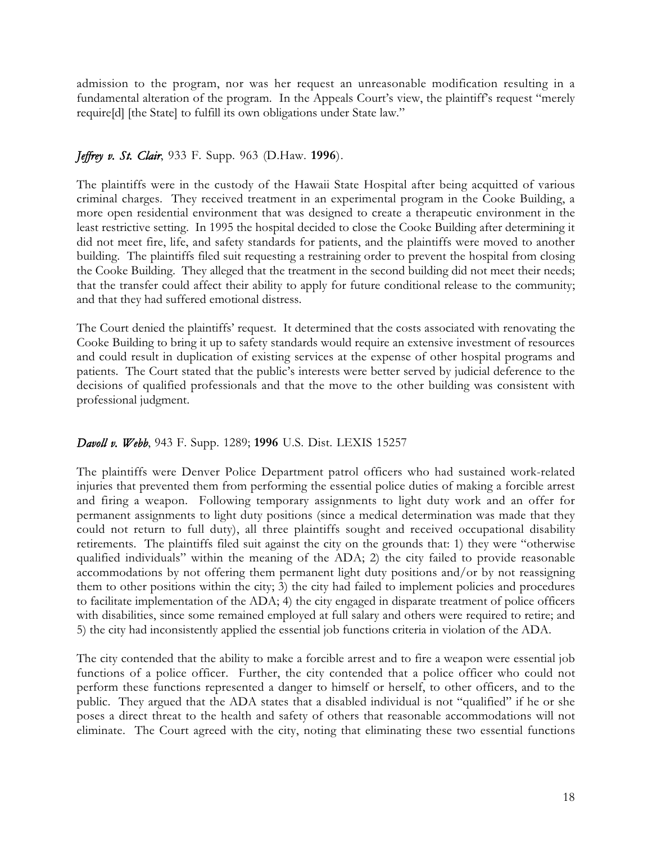admission to the program, nor was her request an unreasonable modification resulting in a fundamental alteration of the program. In the Appeals Court's view, the plaintiff's request "merely require[d] [the State] to fulfill its own obligations under State law."

# *Jeffrey v. St. Clair*, 933 F. Supp. 963 (D.Haw. **1996**).

The plaintiffs were in the custody of the Hawaii State Hospital after being acquitted of various criminal charges. They received treatment in an experimental program in the Cooke Building, a more open residential environment that was designed to create a therapeutic environment in the least restrictive setting. In 1995 the hospital decided to close the Cooke Building after determining it did not meet fire, life, and safety standards for patients, and the plaintiffs were moved to another building. The plaintiffs filed suit requesting a restraining order to prevent the hospital from closing the Cooke Building. They alleged that the treatment in the second building did not meet their needs; that the transfer could affect their ability to apply for future conditional release to the community; and that they had suffered emotional distress.

The Court denied the plaintiffs' request. It determined that the costs associated with renovating the Cooke Building to bring it up to safety standards would require an extensive investment of resources and could result in duplication of existing services at the expense of other hospital programs and patients. The Court stated that the public's interests were better served by judicial deference to the decisions of qualified professionals and that the move to the other building was consistent with professional judgment.

# *Davoll v. Webb*, 943 F. Supp. 1289; **1996** U.S. Dist. LEXIS 15257

The plaintiffs were Denver Police Department patrol officers who had sustained work-related injuries that prevented them from performing the essential police duties of making a forcible arrest and firing a weapon. Following temporary assignments to light duty work and an offer for permanent assignments to light duty positions (since a medical determination was made that they could not return to full duty), all three plaintiffs sought and received occupational disability retirements. The plaintiffs filed suit against the city on the grounds that: 1) they were "otherwise qualified individuals" within the meaning of the ADA; 2) the city failed to provide reasonable accommodations by not offering them permanent light duty positions and/or by not reassigning them to other positions within the city; 3) the city had failed to implement policies and procedures to facilitate implementation of the ADA; 4) the city engaged in disparate treatment of police officers with disabilities, since some remained employed at full salary and others were required to retire; and 5) the city had inconsistently applied the essential job functions criteria in violation of the ADA.

The city contended that the ability to make a forcible arrest and to fire a weapon were essential job functions of a police officer. Further, the city contended that a police officer who could not perform these functions represented a danger to himself or herself, to other officers, and to the public. They argued that the ADA states that a disabled individual is not "qualified" if he or she poses a direct threat to the health and safety of others that reasonable accommodations will not eliminate. The Court agreed with the city, noting that eliminating these two essential functions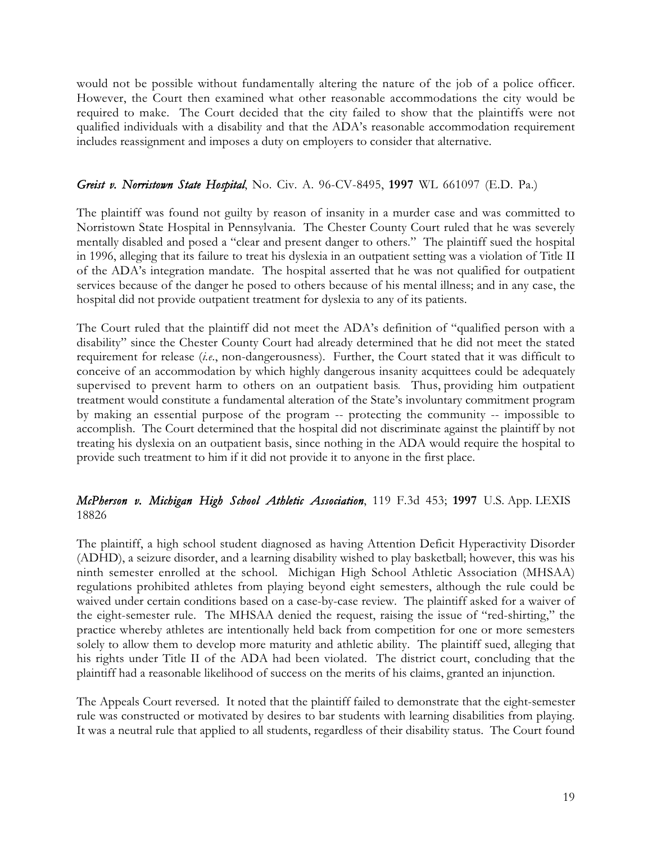would not be possible without fundamentally altering the nature of the job of a police officer. However, the Court then examined what other reasonable accommodations the city would be required to make. The Court decided that the city failed to show that the plaintiffs were not qualified individuals with a disability and that the ADA's reasonable accommodation requirement includes reassignment and imposes a duty on employers to consider that alternative.

#### *Greist v. Norristown State Hospital*, No. Civ. A. 96-CV-8495, **1997** WL 661097 (E.D. Pa.)

The plaintiff was found not guilty by reason of insanity in a murder case and was committed to Norristown State Hospital in Pennsylvania. The Chester County Court ruled that he was severely mentally disabled and posed a "clear and present danger to others." The plaintiff sued the hospital in 1996, alleging that its failure to treat his dyslexia in an outpatient setting was a violation of Title II of the ADA's integration mandate. The hospital asserted that he was not qualified for outpatient services because of the danger he posed to others because of his mental illness; and in any case, the hospital did not provide outpatient treatment for dyslexia to any of its patients.

The Court ruled that the plaintiff did not meet the ADA's definition of "qualified person with a disability" since the Chester County Court had already determined that he did not meet the stated requirement for release (*i.e*., non-dangerousness). Further, the Court stated that it was difficult to conceive of an accommodation by which highly dangerous insanity acquittees could be adequately supervised to prevent harm to others on an outpatient basis. Thus, providing him outpatient treatment would constitute a fundamental alteration of the State's involuntary commitment program by making an essential purpose of the program -- protecting the community -- impossible to accomplish. The Court determined that the hospital did not discriminate against the plaintiff by not treating his dyslexia on an outpatient basis, since nothing in the ADA would require the hospital to provide such treatment to him if it did not provide it to anyone in the first place.

# *McPherson v. Michigan High School Athletic Association*, 119 F.3d 453; **1997** U.S. App. LEXIS 18826

The plaintiff, a high school student diagnosed as having Attention Deficit Hyperactivity Disorder (ADHD), a seizure disorder, and a learning disability wished to play basketball; however, this was his ninth semester enrolled at the school. Michigan High School Athletic Association (MHSAA) regulations prohibited athletes from playing beyond eight semesters, although the rule could be waived under certain conditions based on a case-by-case review. The plaintiff asked for a waiver of the eight-semester rule. The MHSAA denied the request, raising the issue of "red-shirting," the practice whereby athletes are intentionally held back from competition for one or more semesters solely to allow them to develop more maturity and athletic ability. The plaintiff sued, alleging that his rights under Title II of the ADA had been violated. The district court, concluding that the plaintiff had a reasonable likelihood of success on the merits of his claims, granted an injunction.

The Appeals Court reversed. It noted that the plaintiff failed to demonstrate that the eight-semester rule was constructed or motivated by desires to bar students with learning disabilities from playing. It was a neutral rule that applied to all students, regardless of their disability status. The Court found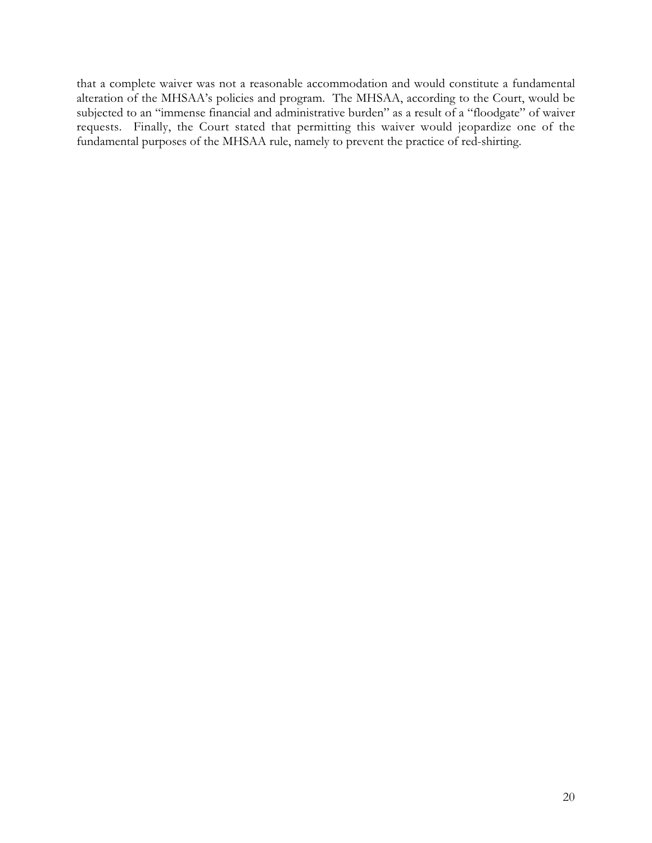that a complete waiver was not a reasonable accommodation and would constitute a fundamental alteration of the MHSAA's policies and program. The MHSAA, according to the Court, would be subjected to an "immense financial and administrative burden" as a result of a "floodgate" of waiver requests. Finally, the Court stated that permitting this waiver would jeopardize one of the fundamental purposes of the MHSAA rule, namely to prevent the practice of red-shirting.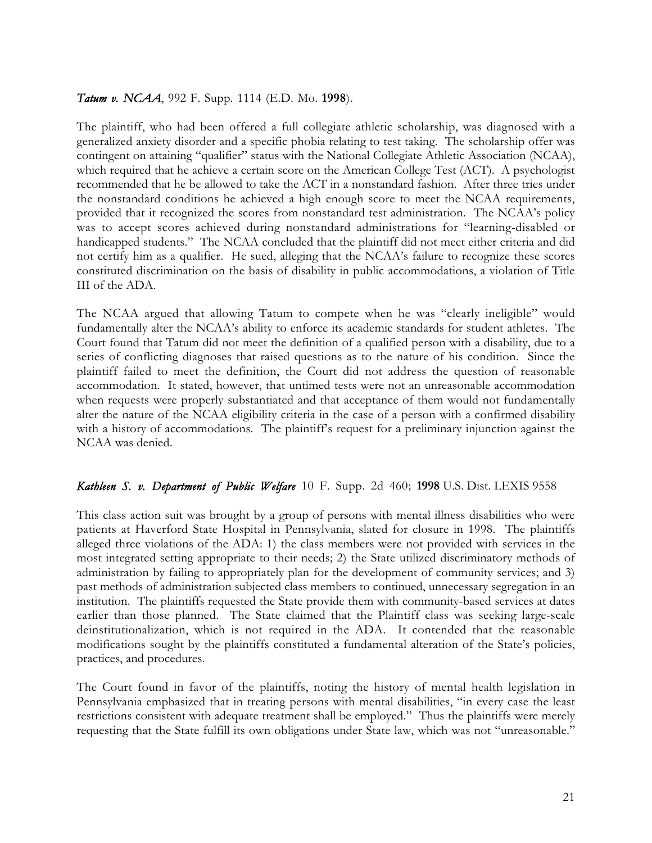#### *Tatum v. NCAA*, 992 F. Supp. 1114 (E.D. Mo. **1998**).

The plaintiff, who had been offered a full collegiate athletic scholarship, was diagnosed with a generalized anxiety disorder and a specific phobia relating to test taking. The scholarship offer was contingent on attaining "qualifier" status with the National Collegiate Athletic Association (NCAA), which required that he achieve a certain score on the American College Test (ACT). A psychologist recommended that he be allowed to take the ACT in a nonstandard fashion. After three tries under the nonstandard conditions he achieved a high enough score to meet the NCAA requirements, provided that it recognized the scores from nonstandard test administration. The NCAA's policy was to accept scores achieved during nonstandard administrations for "learning-disabled or handicapped students." The NCAA concluded that the plaintiff did not meet either criteria and did not certify him as a qualifier. He sued, alleging that the NCAA's failure to recognize these scores constituted discrimination on the basis of disability in public accommodations, a violation of Title III of the ADA.

The NCAA argued that allowing Tatum to compete when he was "clearly ineligible" would fundamentally alter the NCAA's ability to enforce its academic standards for student athletes. The Court found that Tatum did not meet the definition of a qualified person with a disability, due to a series of conflicting diagnoses that raised questions as to the nature of his condition. Since the plaintiff failed to meet the definition, the Court did not address the question of reasonable accommodation. It stated, however, that untimed tests were not an unreasonable accommodation when requests were properly substantiated and that acceptance of them would not fundamentally alter the nature of the NCAA eligibility criteria in the case of a person with a confirmed disability with a history of accommodations. The plaintiff's request for a preliminary injunction against the NCAA was denied.

#### *Kathleen S. v. Department of Public Welfare* 10 F. Supp. 2d 460; **1998** U.S. Dist. LEXIS 9558

This class action suit was brought by a group of persons with mental illness disabilities who were patients at Haverford State Hospital in Pennsylvania, slated for closure in 1998. The plaintiffs alleged three violations of the ADA: 1) the class members were not provided with services in the most integrated setting appropriate to their needs; 2) the State utilized discriminatory methods of administration by failing to appropriately plan for the development of community services; and 3) past methods of administration subjected class members to continued, unnecessary segregation in an institution. The plaintiffs requested the State provide them with community-based services at dates earlier than those planned. The State claimed that the Plaintiff class was seeking large-scale deinstitutionalization, which is not required in the ADA. It contended that the reasonable modifications sought by the plaintiffs constituted a fundamental alteration of the State's policies, practices, and procedures.

The Court found in favor of the plaintiffs, noting the history of mental health legislation in Pennsylvania emphasized that in treating persons with mental disabilities, "in every case the least restrictions consistent with adequate treatment shall be employed." Thus the plaintiffs were merely requesting that the State fulfill its own obligations under State law, which was not "unreasonable."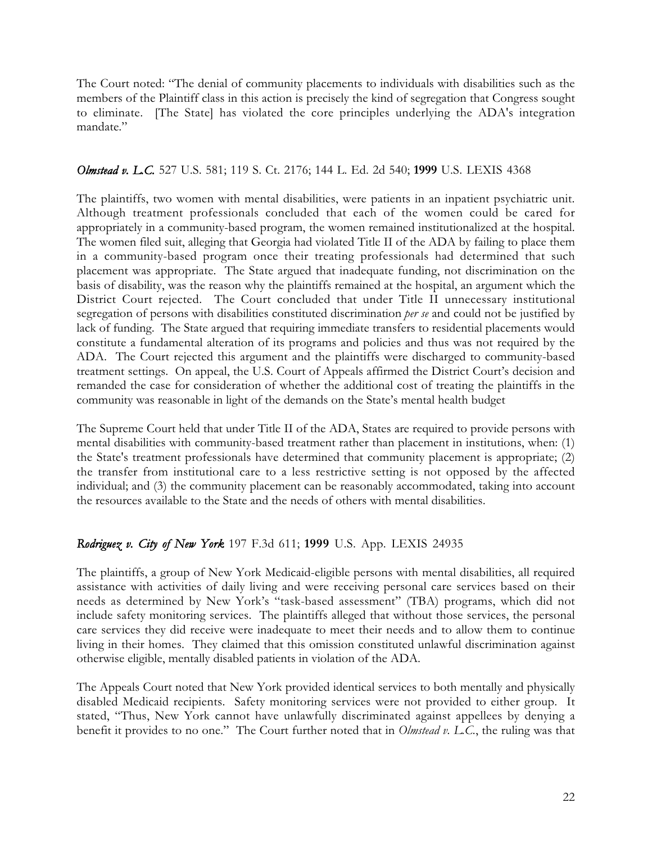The Court noted: "The denial of community placements to individuals with disabilities such as the members of the Plaintiff class in this action is precisely the kind of segregation that Congress sought to eliminate. [The State] has violated the core principles underlying the ADA's integration mandate."

# *Olmstead v. L.C.* 527 U.S. 581; 119 S. Ct. 2176; 144 L. Ed. 2d 540; **1999** U.S. LEXIS 4368

The plaintiffs, two women with mental disabilities, were patients in an inpatient psychiatric unit. Although treatment professionals concluded that each of the women could be cared for appropriately in a community-based program, the women remained institutionalized at the hospital. The women filed suit, alleging that Georgia had violated Title II of the ADA by failing to place them in a community-based program once their treating professionals had determined that such placement was appropriate. The State argued that inadequate funding, not discrimination on the basis of disability, was the reason why the plaintiffs remained at the hospital, an argument which the District Court rejected. The Court concluded that under Title II unnecessary institutional segregation of persons with disabilities constituted discrimination *per se* and could not be justified by lack of funding. The State argued that requiring immediate transfers to residential placements would constitute a fundamental alteration of its programs and policies and thus was not required by the ADA. The Court rejected this argument and the plaintiffs were discharged to community-based treatment settings. On appeal, the U.S. Court of Appeals affirmed the District Court's decision and remanded the case for consideration of whether the additional cost of treating the plaintiffs in the community was reasonable in light of the demands on the State's mental health budget

The Supreme Court held that under Title II of the ADA, States are required to provide persons with mental disabilities with community-based treatment rather than placement in institutions, when: (1) the State's treatment professionals have determined that community placement is appropriate; (2) the transfer from institutional care to a less restrictive setting is not opposed by the affected individual; and (3) the community placement can be reasonably accommodated, taking into account the resources available to the State and the needs of others with mental disabilities.

# *Rodriguez v. City of New York* 197 F.3d 611; **1999** U.S. App. LEXIS 24935

The plaintiffs, a group of New York Medicaid-eligible persons with mental disabilities, all required assistance with activities of daily living and were receiving personal care services based on their needs as determined by New York's "task-based assessment" (TBA) programs, which did not include safety monitoring services. The plaintiffs alleged that without those services, the personal care services they did receive were inadequate to meet their needs and to allow them to continue living in their homes. They claimed that this omission constituted unlawful discrimination against otherwise eligible, mentally disabled patients in violation of the ADA.

The Appeals Court noted that New York provided identical services to both mentally and physically disabled Medicaid recipients. Safety monitoring services were not provided to either group. It stated, "Thus, New York cannot have unlawfully discriminated against appellees by denying a benefit it provides to no one." The Court further noted that in *Olmstead v. L.C.*, the ruling was that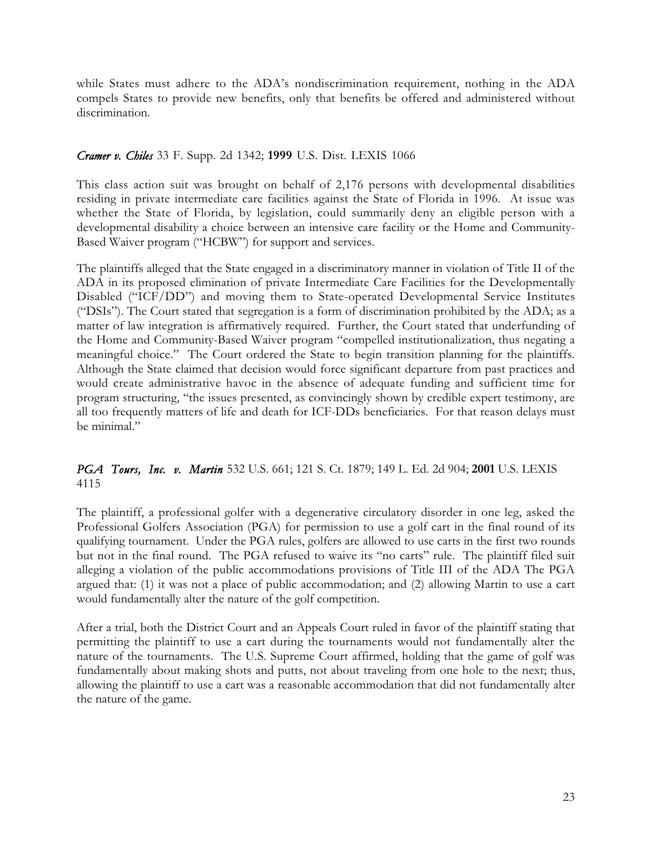while States must adhere to the ADA's nondiscrimination requirement, nothing in the ADA compels States to provide new benefits, only that benefits be offered and administered without discrimination.

# *Cramer v. Chiles* 33 F. Supp. 2d 1342; **1999** U.S. Dist. LEXIS 1066

This class action suit was brought on behalf of 2,176 persons with developmental disabilities residing in private intermediate care facilities against the State of Florida in 1996. At issue was whether the State of Florida, by legislation, could summarily deny an eligible person with a developmental disability a choice between an intensive care facility or the Home and Community-Based Waiver program ("HCBW") for support and services.

The plaintiffs alleged that the State engaged in a discriminatory manner in violation of Title II of the ADA in its proposed elimination of private Intermediate Care Facilities for the Developmentally Disabled ("ICF/DD") and moving them to State-operated Developmental Service Institutes ("DSIs"). The Court stated that segregation is a form of discrimination prohibited by the ADA; as a matter of law integration is affirmatively required. Further, the Court stated that underfunding of the Home and Community-Based Waiver program "compelled institutionalization, thus negating a meaningful choice." The Court ordered the State to begin transition planning for the plaintiffs. Although the State claimed that decision would force significant departure from past practices and would create administrative havoc in the absence of adequate funding and sufficient time for program structuring, "the issues presented, as convincingly shown by credible expert testimony, are all too frequently matters of life and death for ICF-DDs beneficiaries. For that reason delays must be minimal."

# *PGA Tours, Inc. v. Martin* 532 U.S. 661; 121 S. Ct. 1879; 149 L. Ed. 2d 904; **2001** U.S. LEXIS 4115

The plaintiff, a professional golfer with a degenerative circulatory disorder in one leg, asked the Professional Golfers Association (PGA) for permission to use a golf cart in the final round of its qualifying tournament. Under the PGA rules, golfers are allowed to use carts in the first two rounds but not in the final round. The PGA refused to waive its "no carts" rule. The plaintiff filed suit alleging a violation of the public accommodations provisions of Title III of the ADA The PGA argued that: (1) it was not a place of public accommodation; and (2) allowing Martin to use a cart would fundamentally alter the nature of the golf competition.

After a trial, both the District Court and an Appeals Court ruled in favor of the plaintiff stating that permitting the plaintiff to use a cart during the tournaments would not fundamentally alter the nature of the tournaments. The U.S. Supreme Court affirmed, holding that the game of golf was fundamentally about making shots and putts, not about traveling from one hole to the next; thus, allowing the plaintiff to use a cart was a reasonable accommodation that did not fundamentally alter the nature of the game.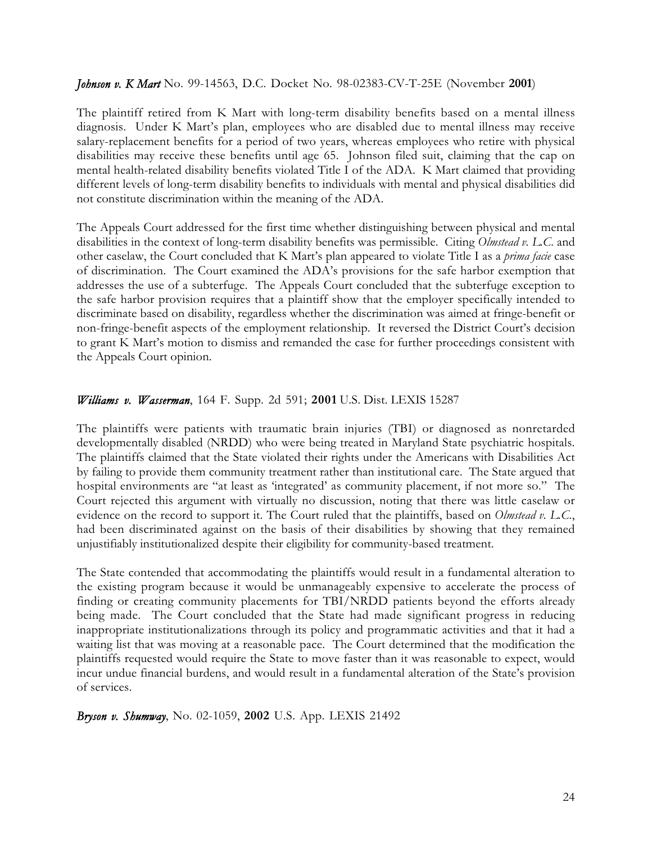#### *Johnson v. K Mart* No. 99-14563, D.C. Docket No. 98-02383-CV-T-25E (November **2001**)

The plaintiff retired from K Mart with long-term disability benefits based on a mental illness diagnosis. Under K Mart's plan, employees who are disabled due to mental illness may receive salary-replacement benefits for a period of two years, whereas employees who retire with physical disabilities may receive these benefits until age 65. Johnson filed suit, claiming that the cap on mental health-related disability benefits violated Title I of the ADA. K Mart claimed that providing different levels of long-term disability benefits to individuals with mental and physical disabilities did not constitute discrimination within the meaning of the ADA.

The Appeals Court addressed for the first time whether distinguishing between physical and mental disabilities in the context of long-term disability benefits was permissible. Citing *Olmstead v. L.C*. and other caselaw, the Court concluded that K Mart's plan appeared to violate Title I as a *prima facie* case of discrimination. The Court examined the ADA's provisions for the safe harbor exemption that addresses the use of a subterfuge. The Appeals Court concluded that the subterfuge exception to the safe harbor provision requires that a plaintiff show that the employer specifically intended to discriminate based on disability, regardless whether the discrimination was aimed at fringe-benefit or non-fringe-benefit aspects of the employment relationship. It reversed the District Court's decision to grant K Mart's motion to dismiss and remanded the case for further proceedings consistent with the Appeals Court opinion.

#### *Williams v. Wasserman*, 164 F. Supp. 2d 591; **2001** U.S. Dist. LEXIS 15287

The plaintiffs were patients with traumatic brain injuries (TBI) or diagnosed as nonretarded developmentally disabled (NRDD) who were being treated in Maryland State psychiatric hospitals. The plaintiffs claimed that the State violated their rights under the Americans with Disabilities Act by failing to provide them community treatment rather than institutional care. The State argued that hospital environments are "at least as 'integrated' as community placement, if not more so." The Court rejected this argument with virtually no discussion, noting that there was little caselaw or evidence on the record to support it. The Court ruled that the plaintiffs, based on *Olmstead v. L.C*., had been discriminated against on the basis of their disabilities by showing that they remained unjustifiably institutionalized despite their eligibility for community-based treatment.

The State contended that accommodating the plaintiffs would result in a fundamental alteration to the existing program because it would be unmanageably expensive to accelerate the process of finding or creating community placements for TBI/NRDD patients beyond the efforts already being made. The Court concluded that the State had made significant progress in reducing inappropriate institutionalizations through its policy and programmatic activities and that it had a waiting list that was moving at a reasonable pace. The Court determined that the modification the plaintiffs requested would require the State to move faster than it was reasonable to expect, would incur undue financial burdens, and would result in a fundamental alteration of the State's provision of services.

*Bryson v. Shumway*, No. 02-1059, **2002** U.S. App. LEXIS 21492